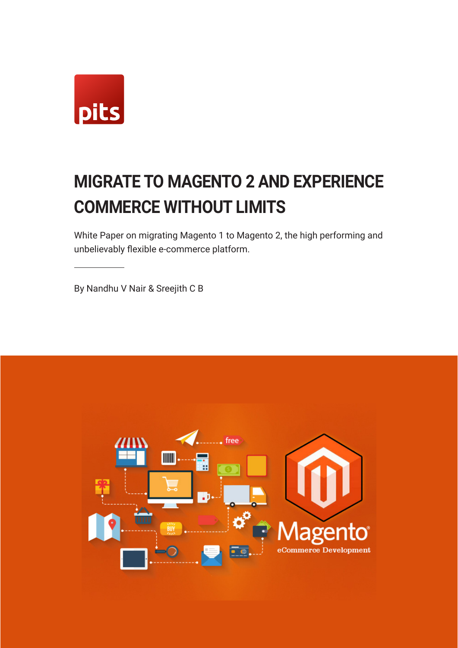

# **MIGRATE TO MAGENTO 2 AND EXPERIENCE COMMERCE WITHOUT LIMITS**

White Paper on migrating Magento 1 to Magento 2, the high performing and unbelievably flexible e-commerce platform.

By Nandhu V Nair & Sreejith C B

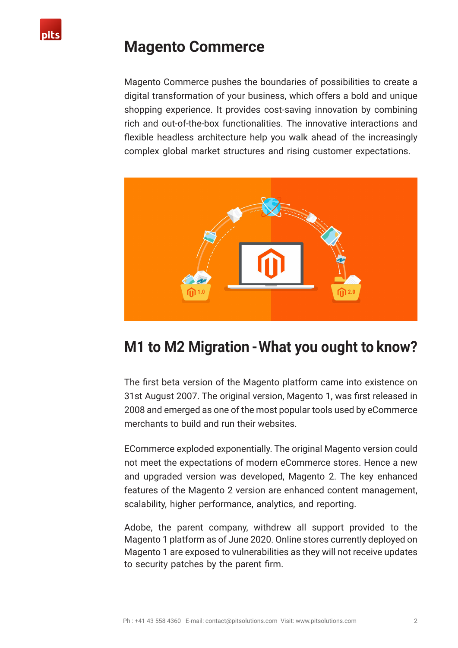

### **Magento Commerce**

Magento Commerce pushes the boundaries of possibilities to create a digital transformation of your business, which offers a bold and unique shopping experience. It provides cost-saving innovation by combining rich and out-of-the-box functionalities. The innovative interactions and flexible headless architecture help you walk ahead of the increasingly complex global market structures and rising customer expectations.



### **M1 to M2 Migration - What you ought to know?**

The first beta version of the Magento platform came into existence on 31st August 2007. The original version, Magento 1, was first released in 2008 and emerged as one of the most popular tools used by eCommerce merchants to build and run their websites.

ECommerce exploded exponentially. The original Magento version could not meet the expectations of modern eCommerce stores. Hence a new and upgraded version was developed, Magento 2. The key enhanced features of the Magento 2 version are enhanced content management, scalability, higher performance, analytics, and reporting.

Adobe, the parent company, withdrew all support provided to the Magento 1 platform as of June 2020. Online stores currently deployed on Magento 1 are exposed to vulnerabilities as they will not receive updates to security patches by the parent firm.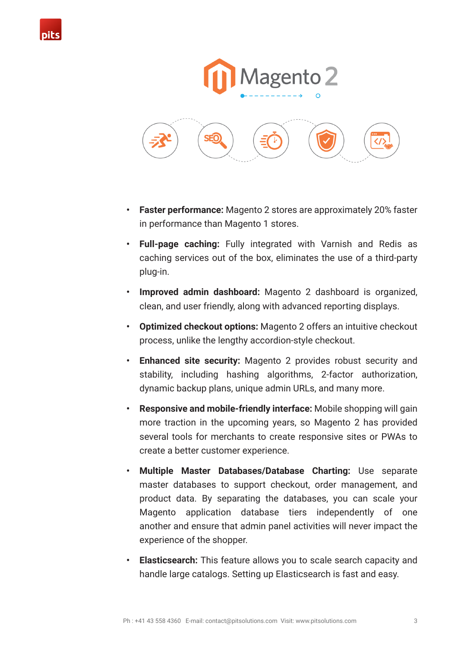





- **• Faster performance:** Magento 2 stores are approximately 20% faster in performance than Magento 1 stores.
- **• Full-page caching:** Fully integrated with Varnish and Redis as caching services out of the box, eliminates the use of a third-party plug-in.
- **• Improved admin dashboard:** Magento 2 dashboard is organized, clean, and user friendly, along with advanced reporting displays.
- **• Optimized checkout options:** Magento 2 offers an intuitive checkout process, unlike the lengthy accordion-style checkout.
- **• Enhanced site security:** Magento 2 provides robust security and stability, including hashing algorithms, 2-factor authorization, dynamic backup plans, unique admin URLs, and many more.
- **• Responsive and mobile-friendly interface:** Mobile shopping will gain more traction in the upcoming years, so Magento 2 has provided several tools for merchants to create responsive sites or PWAs to create a better customer experience.
- **• Multiple Master Databases/Database Charting:** Use separate master databases to support checkout, order management, and product data. By separating the databases, you can scale your Magento application database tiers independently of one another and ensure that admin panel activities will never impact the experience of the shopper.
- **• Elasticsearch:** This feature allows you to scale search capacity and handle large catalogs. Setting up Elasticsearch is fast and easy.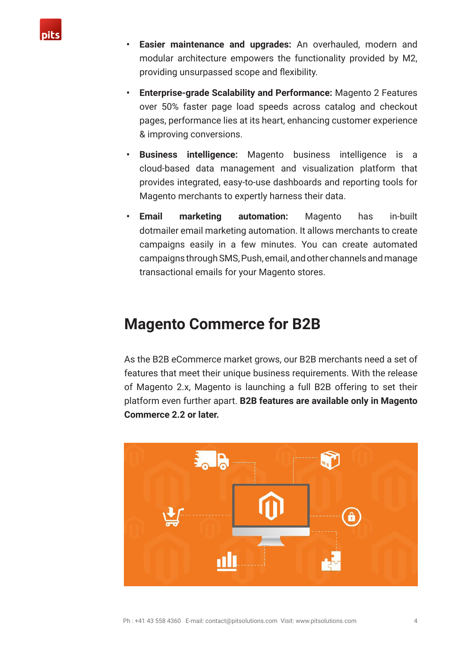

- **• Easier maintenance and upgrades:** An overhauled, modern and modular architecture empowers the functionality provided by M2, providing unsurpassed scope and flexibility.
- **• Enterprise-grade Scalability and Performance:** Magento 2 Features over 50% faster page load speeds across catalog and checkout pages, performance lies at its heart, enhancing customer experience & improving conversions.
- **• Business intelligence:** Magento business intelligence is a cloud-based data management and visualization platform that provides integrated, easy-to-use dashboards and reporting tools for Magento merchants to expertly harness their data.
- **• Email marketing automation:** Magento has in-built dotmailer email marketing automation. It allows merchants to create campaigns easily in a few minutes. You can create automated campaigns through SMS, Push, email, and other channels and manage transactional emails for your Magento stores.

### **Magento Commerce for B2B**

As the B2B eCommerce market grows, our B2B merchants need a set of features that meet their unique business requirements. With the release of Magento 2.x, Magento is launching a full B2B offering to set their platform even further apart. **B2B features are available only in Magento Commerce 2.2 or later.**

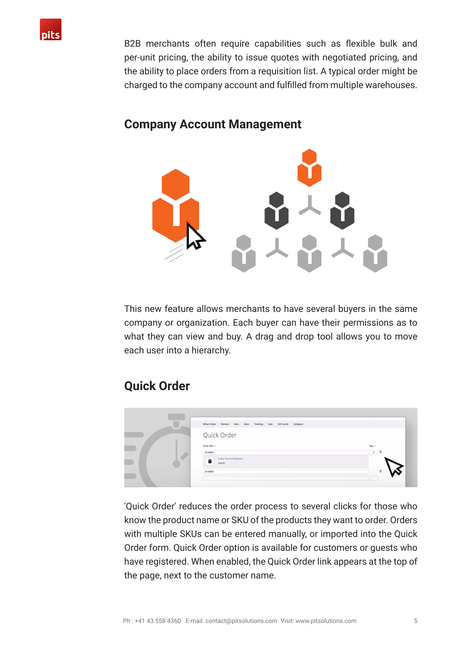

B2B merchants often require capabilities such as flexible bulk and per-unit pricing, the ability to issue quotes with negotiated pricing, and the ability to place orders from a requisition list. A typical order might be charged to the company account and fulfilled from multiple warehouses.



#### **Company Account Management**

This new feature allows merchants to have several buyers in the same company or organization. Each buyer can have their permissions as to what they can view and buy. A drag and drop tool allows you to move each user into a hierarchy.

### **Quick Order**



'Quick Order' reduces the order process to several clicks for those who know the product name or SKU of the products they want to order. Orders with multiple SKUs can be entered manually, or imported into the Quick Order form. Quick Order option is available for customers or guests who have registered. When enabled, the Quick Order link appears at the top of the page, next to the customer name.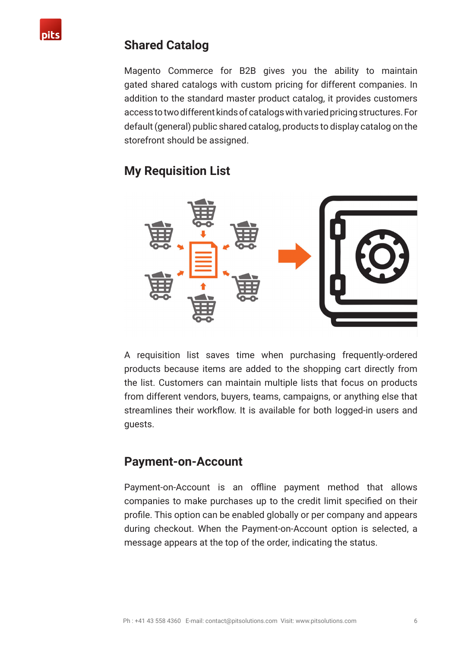### **Shared Catalog**

Magento Commerce for B2B gives you the ability to maintain gated shared catalogs with custom pricing for different companies. In addition to the standard master product catalog, it provides customers access to two different kinds of catalogs with varied pricing structures. For default (general) public shared catalog, products to display catalog on the storefront should be assigned.

### **My Requisition List**



A requisition list saves time when purchasing frequently-ordered products because items are added to the shopping cart directly from the list. Customers can maintain multiple lists that focus on products from different vendors, buyers, teams, campaigns, or anything else that streamlines their workflow. It is available for both logged-in users and guests.

### **Payment-on-Account**

Payment-on-Account is an offline payment method that allows companies to make purchases up to the credit limit specified on their profile. This option can be enabled globally or per company and appears during checkout. When the Payment-on-Account option is selected, a message appears at the top of the order, indicating the status.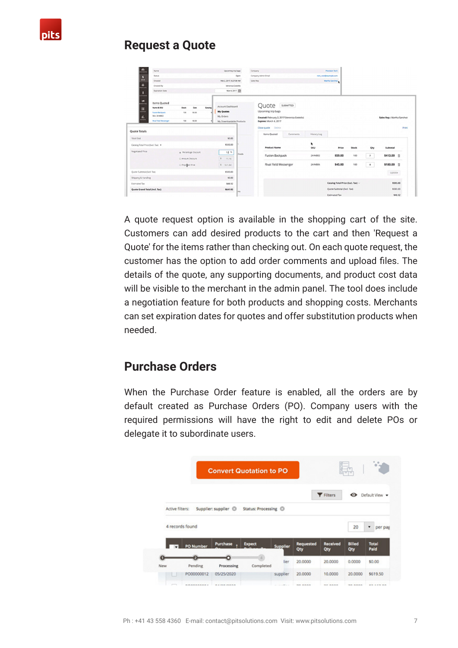

### **Request a Quote**

| $\mathbf{a}$<br>$\mathbf{s}$             | Name<br>Status                         |                                     |               | Upcoming trip bags<br>Open |                         | Company<br>Company Admin Email<br>Sales Rep                                                   |           | Prechlon Tech<br>roni rastifiesanglazon.<br>Martha Sanchez |                                   |       |                |                            |         |
|------------------------------------------|----------------------------------------|-------------------------------------|---------------|----------------------------|-------------------------|-----------------------------------------------------------------------------------------------|-----------|------------------------------------------------------------|-----------------------------------|-------|----------------|----------------------------|---------|
| WH                                       | Created                                |                                     |               |                            | Feb 2, 2017, 8:27:08 AM |                                                                                               |           |                                                            |                                   |       |                |                            |         |
| $\bullet$<br>Created By<br><b>KOLC'S</b> |                                        | Veronica Costello                   |               |                            |                         |                                                                                               |           |                                                            |                                   |       |                |                            |         |
| ٠<br>ATOMIC                              | Expiration Date                        |                                     |               | Mar 4, 2017 (2)            |                         |                                                                                               |           |                                                            |                                   |       |                |                            |         |
| $\mathcal{F}_{\text{max}}$               | Items Quoted                           |                                     |               |                            |                         |                                                                                               | SUBMITTED |                                                            |                                   |       |                |                            |         |
| 區                                        | Name & SKU                             | Catalog<br>Case<br>200 <sub>2</sub> |               | Account Dashboard          |                         | Quote                                                                                         |           |                                                            |                                   |       |                |                            |         |
| n.                                       | <b>Puston Backpack</b><br>Sitz 24 MB12 | 100<br>\$3.03                       |               | My Quotes<br>My Orders     |                         | Upcoming trip bags<br>Created: February 2, 2017 (Veronica Costello)<br>Expires: March 4, 2017 |           |                                                            |                                   |       |                | Sales Rep.: Martha Sanchez |         |
| <b>MPDETS</b>                            | <b>Bud Field Memorger</b>              | 93.00<br>100                        |               | My Downloadable Products   |                         |                                                                                               |           |                                                            |                                   |       |                |                            |         |
| Quote Totals                             |                                        |                                     |               |                            |                         | Close quote Delinte                                                                           |           |                                                            |                                   |       |                |                            | Print   |
|                                          |                                        |                                     |               |                            |                         | Items Quoted                                                                                  | Comments  | History Log                                                |                                   |       |                |                            |         |
| TOGH COST                                |                                        |                                     |               | \$0.00                     |                         |                                                                                               |           |                                                            |                                   |       |                |                            |         |
| Catalog Total Price (Excl. Tax) .        |                                        |                                     |               | \$593.00                   |                         | <b>Product Name</b>                                                                           |           | ۰<br>90J                                                   | Price                             | Stock | Qty            | Subtotal                   |         |
| Negotiated Price                         |                                        | * Percentage Discount               |               | $14$ %                     | thods                   | <b>Fusion Backpack</b>                                                                        |           | 24 MB02                                                    | \$59.00                           | 100   | $\tau$         | 5413.00 音                  |         |
|                                          |                                        | C Arrount Discount                  | $\mathbbm{S}$ | 71.16                      |                         |                                                                                               |           |                                                            |                                   |       |                |                            |         |
|                                          |                                        | O Propilled Price                   |               | \$ 521.84                  |                         | Rival Field Messenger                                                                         |           | 24 MB06                                                    | \$45.00                           | 100   | $\overline{4}$ | \$180.00 章                 |         |
| Quote Subtotal (Excl. Tax)               |                                        |                                     | \$593,00      |                            |                         |                                                                                               |           |                                                            |                                   |       |                | Update                     |         |
| Shipping & Handling                      |                                        |                                     |               | \$0.00                     |                         |                                                                                               |           |                                                            |                                   |       |                |                            |         |
| Estimated Tax                            |                                        |                                     |               | \$48.92<br>\$641.92<br>les |                         |                                                                                               |           |                                                            | Catalog Total Price (Excl. Tax) v |       |                | \$593.00                   |         |
| Quote Grand Total (Incl. Tax)            |                                        |                                     |               |                            |                         |                                                                                               |           |                                                            | Quote Subtotal (Excl. Tax)        |       |                | \$593.00                   |         |
|                                          |                                        |                                     |               |                            |                         |                                                                                               |           |                                                            | <b>Estimated Tax</b>              |       |                |                            | \$48.92 |

A quote request option is available in the shopping cart of the site. Customers can add desired products to the cart and then 'Request a Quote' for the items rather than checking out. On each quote request, the customer has the option to add order comments and upload files. The details of the quote, any supporting documents, and product cost data will be visible to the merchant in the admin panel. The tool does include a negotiation feature for both products and shopping costs. Merchants can set expiration dates for quotes and offer substitution products when needed.

### **Purchase Orders**

When the Purchase Order feature is enabled, all the orders are by default created as Purchase Orders (PO). Company users with the required permissions will have the right to edit and delete POs or delegate it to subordinate users.

|     |                                    |                      | <b>Convert Quotation to PO</b> |                 |                         |                        |                      |                      |  |
|-----|------------------------------------|----------------------|--------------------------------|-----------------|-------------------------|------------------------|----------------------|----------------------|--|
|     |                                    |                      | Status: Processing ©           |                 |                         | <b>T</b> Filters       | ⊙                    | Default View         |  |
|     | Active filters:<br>4 records found | Supplier: supplier © |                                |                 | 20                      | per pag                |                      |                      |  |
|     | <b>PO Number</b>                   | Purchase             | <b>Expect</b>                  | <b>Supplier</b> | <b>Requested</b><br>Qty | <b>Received</b><br>Qty | <b>Billed</b><br>Qty | <b>Total</b><br>Paid |  |
| New | Pending                            | Processing           | Completed                      | lier            | 20.0000                 | 20,0000                | 0.0000               | \$0.00               |  |
|     | PO00000012                         | 05/25/2020           |                                | supplier        | 20,0000                 | 10,0000                | 20,0000              | \$619.50             |  |
|     | <b>BRAARAAAA</b>                   | <b>BARBARAS</b>      |                                | and in          | -------                 | SE BAAR                | <b>BA 8888</b>       | <b>AN APRILAR</b>    |  |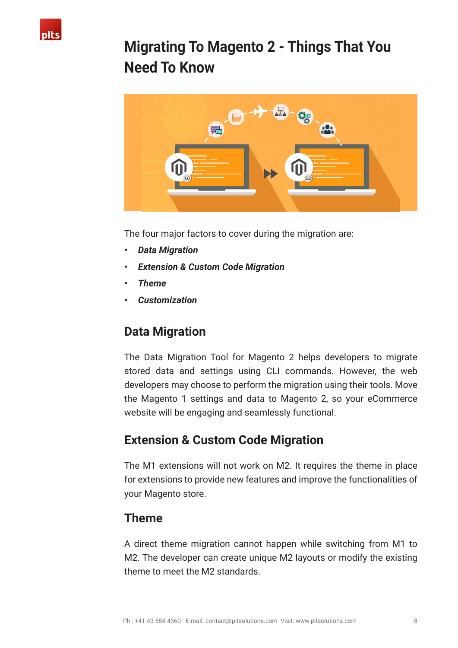

### **Migrating To Magento 2 - Things That You Need To Know**



The four major factors to cover during the migration are:

- *• Data Migration*
- *• Extension & Custom Code Migration*
- *• Theme*
- *• Customization*

### **Data Migration**

The Data Migration Tool for Magento 2 helps developers to migrate stored data and settings using CLI commands. However, the web developers may choose to perform the migration using their tools. Move the Magento 1 settings and data to Magento 2, so your eCommerce website will be engaging and seamlessly functional.

### **Extension & Custom Code Migration**

The M1 extensions will not work on M2. It requires the theme in place for extensions to provide new features and improve the functionalities of your Magento store.

### **Theme**

A direct theme migration cannot happen while switching from M1 to M2. The developer can create unique M2 layouts or modify the existing theme to meet the M2 standards.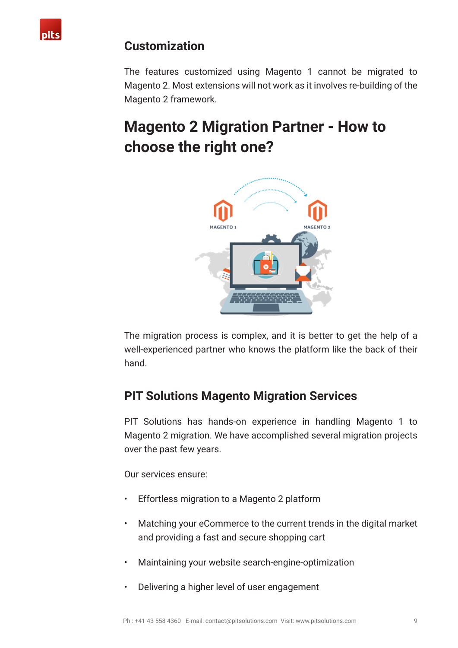

### **Customization**

The features customized using Magento 1 cannot be migrated to Magento 2. Most extensions will not work as it involves re-building of the Magento 2 framework.

## **Magento 2 Migration Partner - How to choose the right one?**



The migration process is complex, and it is better to get the help of a well-experienced partner who knows the platform like the back of their hand.

### **PIT Solutions Magento Migration Services**

PIT Solutions has hands-on experience in handling Magento 1 to Magento 2 migration. We have accomplished several migration projects over the past few years.

Our services ensure:

- Effortless migration to a Magento 2 platform
- Matching your eCommerce to the current trends in the digital market and providing a fast and secure shopping cart
- Maintaining your website search-engine-optimization
- Delivering a higher level of user engagement